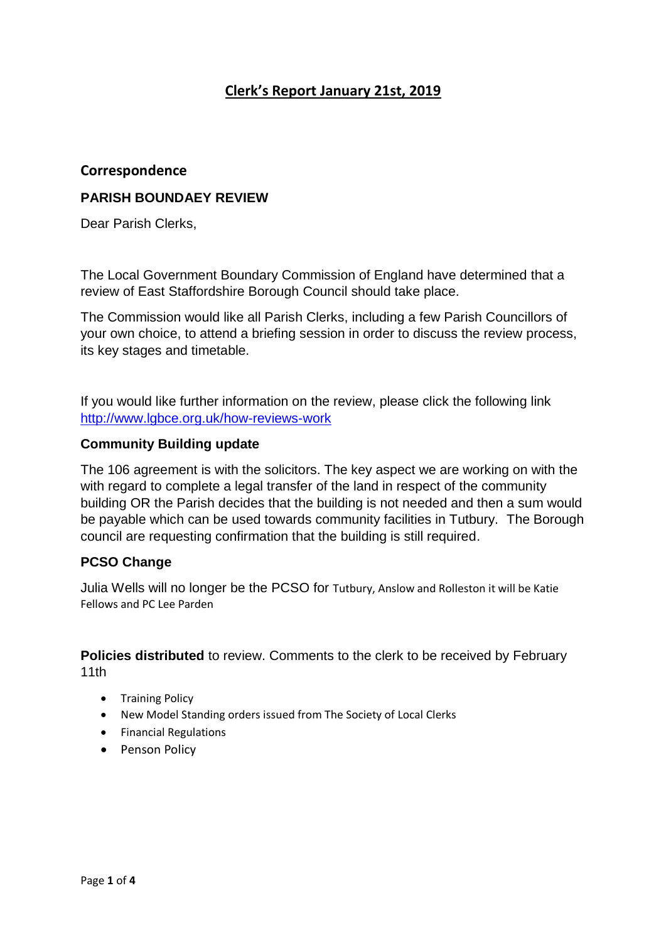# **Clerk's Report January 21st, 2019**

## **Correspondence**

## **PARISH BOUNDAEY REVIEW**

Dear Parish Clerks,

The Local Government Boundary Commission of England have determined that a review of East Staffordshire Borough Council should take place.

The Commission would like all Parish Clerks, including a few Parish Councillors of your own choice, to attend a briefing session in order to discuss the review process, its key stages and timetable.

If you would like further information on the review, please click the following link <http://www.lgbce.org.uk/how-reviews-work>

### **Community Building update**

The 106 agreement is with the solicitors. The key aspect we are working on with the with regard to complete a legal transfer of the land in respect of the community building OR the Parish decides that the building is not needed and then a sum would be payable which can be used towards community facilities in Tutbury. The Borough council are requesting confirmation that the building is still required.

## **PCSO Change**

Julia Wells will no longer be the PCSO for Tutbury, Anslow and Rolleston it will be Katie Fellows and PC Lee Parden

**Policies distributed** to review. Comments to the clerk to be received by February 11th

- Training Policy
- New Model Standing orders issued from The Society of Local Clerks
- Financial Regulations
- Penson Policy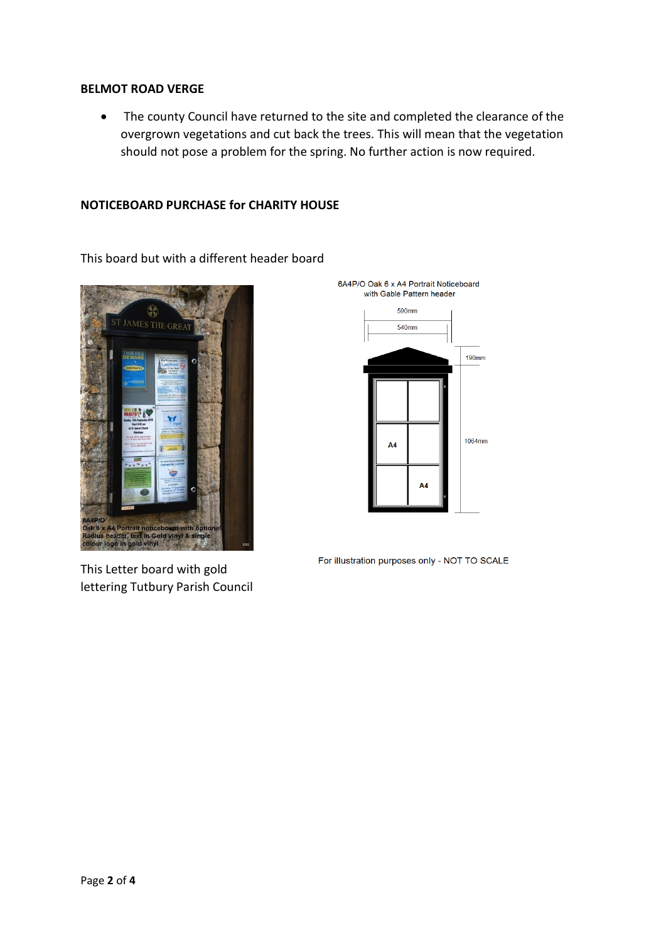#### **BELMOT ROAD VERGE**

• The county Council have returned to the site and completed the clearance of the overgrown vegetations and cut back the trees. This will mean that the vegetation should not pose a problem for the spring. No further action is now required.

### **NOTICEBOARD PURCHASE for CHARITY HOUSE**

This board but with a different header board



This Letter board with gold lettering Tutbury Parish Council



For illustration purposes only - NOT TO SCALE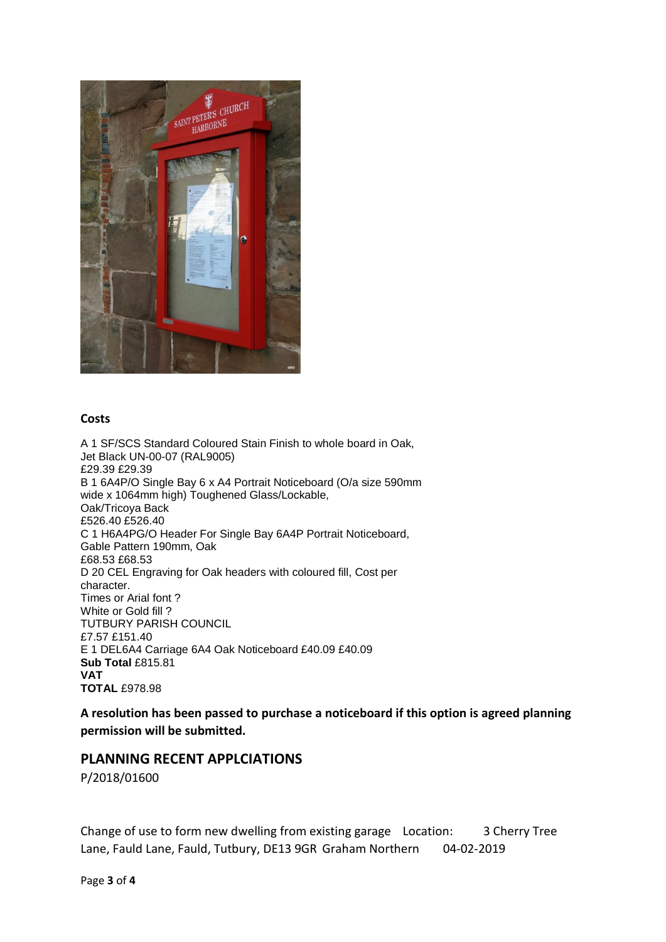

### **Costs**

A 1 SF/SCS Standard Coloured Stain Finish to whole board in Oak, Jet Black UN-00-07 (RAL9005) £29.39 £29.39 B 1 6A4P/O Single Bay 6 x A4 Portrait Noticeboard (O/a size 590mm wide x 1064mm high) Toughened Glass/Lockable, Oak/Tricoya Back £526.40 £526.40 C 1 H6A4PG/O Header For Single Bay 6A4P Portrait Noticeboard, Gable Pattern 190mm, Oak £68.53 £68.53 D 20 CEL Engraving for Oak headers with coloured fill, Cost per character. Times or Arial font ? White or Gold fill ? TUTBURY PARISH COUNCIL £7.57 £151.40 E 1 DEL6A4 Carriage 6A4 Oak Noticeboard £40.09 £40.09 **Sub Total** £815.81 **VAT TOTAL** £978.98

**A resolution has been passed to purchase a noticeboard if this option is agreed planning permission will be submitted.**

## **PLANNING RECENT APPLCIATIONS**

P/2018/01600

Change of use to form new dwelling from existing garage Location: 3 Cherry Tree Lane, Fauld Lane, Fauld, Tutbury, DE13 9GR Graham Northern 04-02-2019